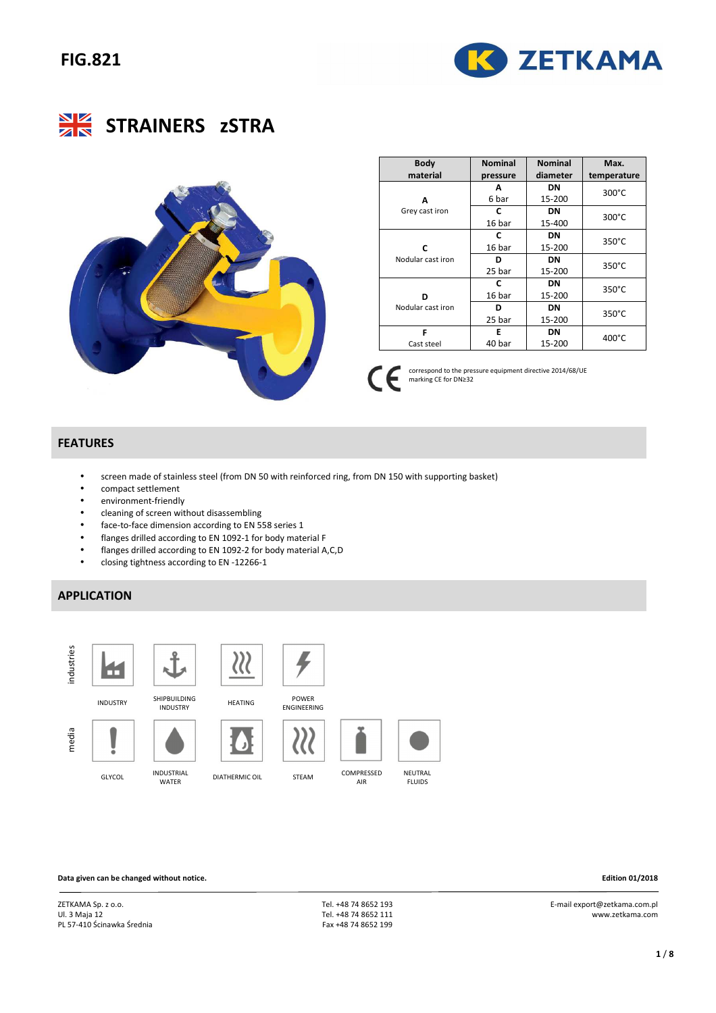





| <b>Body</b>       | <b>Nominal</b> | <b>Nominal</b> | Max.            |
|-------------------|----------------|----------------|-----------------|
| material          | pressure       | diameter       | temperature     |
|                   | Α              | DN             | 300°C           |
| A                 | 6 bar          | 15-200         |                 |
| Grey cast iron    | C              | DN             | $300^{\circ}$ C |
|                   | 16 bar         | 15-400         |                 |
|                   | c              | DN             | $350^{\circ}$ C |
| C                 | 16 bar         | 15-200         |                 |
| Nodular cast iron | D              | DN             | $350^{\circ}$ C |
|                   | 25 bar         | 15-200         |                 |
|                   | C              | DN             | $350^{\circ}$ C |
| n                 | 16 bar         | 15-200         |                 |
| Nodular cast iron | ח              | DN             | $350^{\circ}$ C |
|                   | 25 bar         | 15-200         |                 |
| F                 | F              | DN             | $400^{\circ}$ C |
| Cast steel        | 40 bar         | 15-200         |                 |

 correspond to the pressure equipment directive 2014/68/UE  $\epsilon$ marking CE for DN≥32

### **FEATURES**

- screen made of stainless steel (from DN 50 with reinforced ring, from DN 150 with supporting basket)
- compact settlement
- environment-friendly
- cleaning of screen without disassembling
- face-to-face dimension according to EN 558 series 1
- flanges drilled according to EN 1092-1 for body material F
- flanges drilled according to EN 1092-2 for body material A,C,D
- closing tightness according to EN -12266-1

## **APPLICATION**



**Data given can be changed without notice. Edition 01/2018** 

ZETKAMA Sp. z o.o. Ul. 3 Maja 12 PL 57-410 Ścinawka Średnia

 Tel. +48 74 8652 193 Tel. +48 74 8652 111 Fax +48 74 8652 199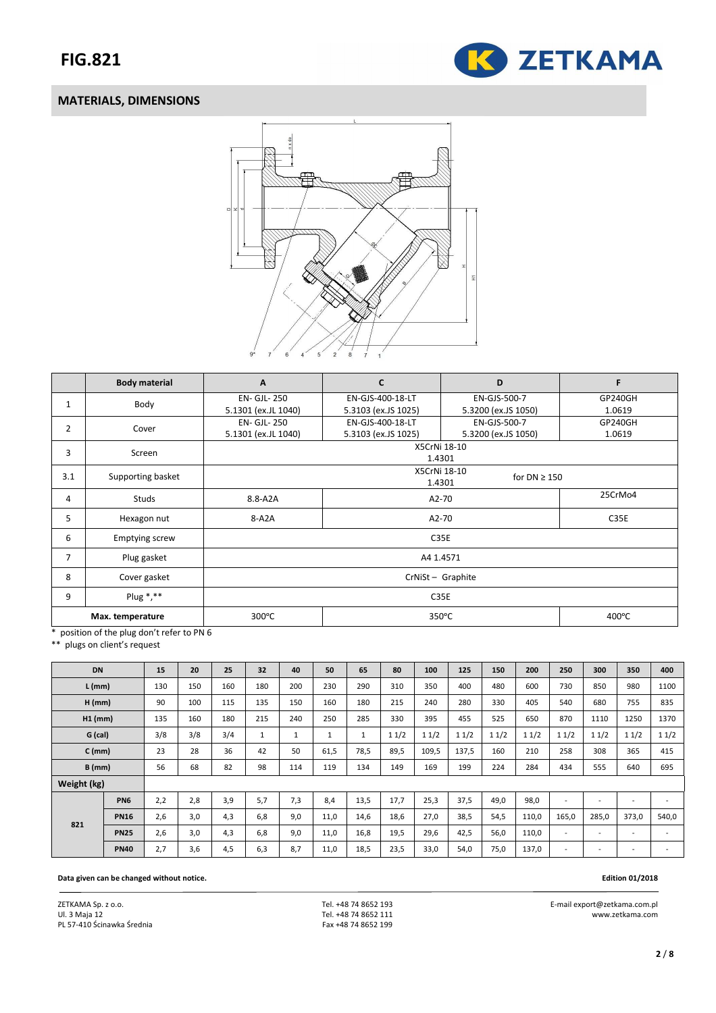

## **MATERIALS, DIMENSIONS**



|                | <b>Body material</b>  | A                   | C                   | D                                 | F       |
|----------------|-----------------------|---------------------|---------------------|-----------------------------------|---------|
| 1              | Body                  | EN- GJL- 250        | EN-GJS-400-18-LT    | EN-GJS-500-7                      | GP240GH |
|                |                       | 5.1301 (ex.JL 1040) | 5.3103 (ex.JS 1025) | 5.3200 (ex.JS 1050)               | 1.0619  |
| 2              | Cover                 | <b>EN- GJL- 250</b> | EN-GJS-400-18-LT    | EN-GJS-500-7                      | GP240GH |
|                |                       | 5.1301 (ex.JL 1040) | 5.3103 (ex.JS 1025) | 5.3200 (ex.JS 1050)               | 1.0619  |
| 3              | Screen                |                     | X5CrNi 18-10        |                                   |         |
|                |                       |                     | 1.4301              |                                   |         |
| 3.1            | Supporting basket     |                     |                     | X5CrNi 18-10<br>for $DN \geq 150$ |         |
|                |                       |                     | 1.4301              |                                   |         |
| 4              | <b>Studs</b>          | 8.8-A2A             | A2-70               | 25CrMo4                           |         |
| 5              | Hexagon nut           | 8-A2A               | A2-70               | C35E                              |         |
|                |                       |                     |                     |                                   |         |
| 6              | <b>Emptying screw</b> |                     |                     | C35E                              |         |
| $\overline{7}$ | Plug gasket           |                     | A4 1.4571           |                                   |         |
| 8              | Cover gasket          |                     | CrNiSt - Graphite   |                                   |         |
| 9              | Plug $*, **$          |                     |                     | C35E                              |         |
|                | Max. temperature      | 300°C               |                     | 350°C                             | 400°C   |

\* position of the plug don't refer to PN 6

\*\* plugs on client's request

| <b>DN</b>   |                 | 15  | 20  | 25  | 32  | 40  | 50   | 65   | 80   | 100   | 125   | 150  | 200   | 250                      | 300                      | 350                      | 400   |
|-------------|-----------------|-----|-----|-----|-----|-----|------|------|------|-------|-------|------|-------|--------------------------|--------------------------|--------------------------|-------|
| $L$ (mm)    |                 | 130 | 150 | 160 | 180 | 200 | 230  | 290  | 310  | 350   | 400   | 480  | 600   | 730                      | 850                      | 980                      | 1100  |
| $H$ (mm)    |                 | 90  | 100 | 115 | 135 | 150 | 160  | 180  | 215  | 240   | 280   | 330  | 405   | 540                      | 680                      | 755                      | 835   |
| $H1$ (mm)   |                 | 135 | 160 | 180 | 215 | 240 | 250  | 285  | 330  | 395   | 455   | 525  | 650   | 870                      | 1110                     | 1250                     | 1370  |
| G (cal)     |                 | 3/8 | 3/8 | 3/4 | 1   |     | ÷.   |      | 11/2 | 11/2  | 11/2  | 11/2 | 11/2  | 11/2                     | 11/2                     | 11/2                     | 11/2  |
| $C$ (mm)    |                 | 23  | 28  | 36  | 42  | 50  | 61,5 | 78,5 | 89,5 | 109,5 | 137,5 | 160  | 210   | 258                      | 308                      | 365                      | 415   |
| $B$ (mm)    |                 | 56  | 68  | 82  | 98  | 114 | 119  | 134  | 149  | 169   | 199   | 224  | 284   | 434                      | 555                      | 640                      | 695   |
| Weight (kg) |                 |     |     |     |     |     |      |      |      |       |       |      |       |                          |                          |                          |       |
|             | PN <sub>6</sub> | 2,2 | 2,8 | 3,9 | 5,7 | 7,3 | 8,4  | 13,5 | 17,7 | 25,3  | 37,5  | 49,0 | 98,0  | $\overline{\phantom{a}}$ | $\overline{\phantom{a}}$ | $\overline{\phantom{a}}$ |       |
| 821         | <b>PN16</b>     | 2,6 | 3,0 | 4,3 | 6.8 | 9.0 | 11,0 | 14,6 | 18,6 | 27,0  | 38,5  | 54,5 | 110,0 | 165,0                    | 285,0                    | 373,0                    | 540,0 |
|             | <b>PN25</b>     | 2,6 | 3,0 | 4,3 | 6,8 | 9,0 | 11,0 | 16,8 | 19,5 | 29,6  | 42,5  | 56,0 | 110,0 |                          |                          |                          |       |
|             | <b>PN40</b>     | 2,7 | 3,6 | 4,5 | 6,3 | 8,7 | 11,0 | 18,5 | 23,5 | 33,0  | 54,0  | 75,0 | 137,0 |                          | $\overline{\phantom{a}}$ |                          |       |

#### **Data given can be changed without notice. Edition 01/2018**

ZETKAMA Sp. z o.o. Ul. 3 Maja 12 PL 57-410 Ścinawka Średnia  Tel. +48 74 8652 193 Tel. +48 74 8652 111 Fax +48 74 8652 199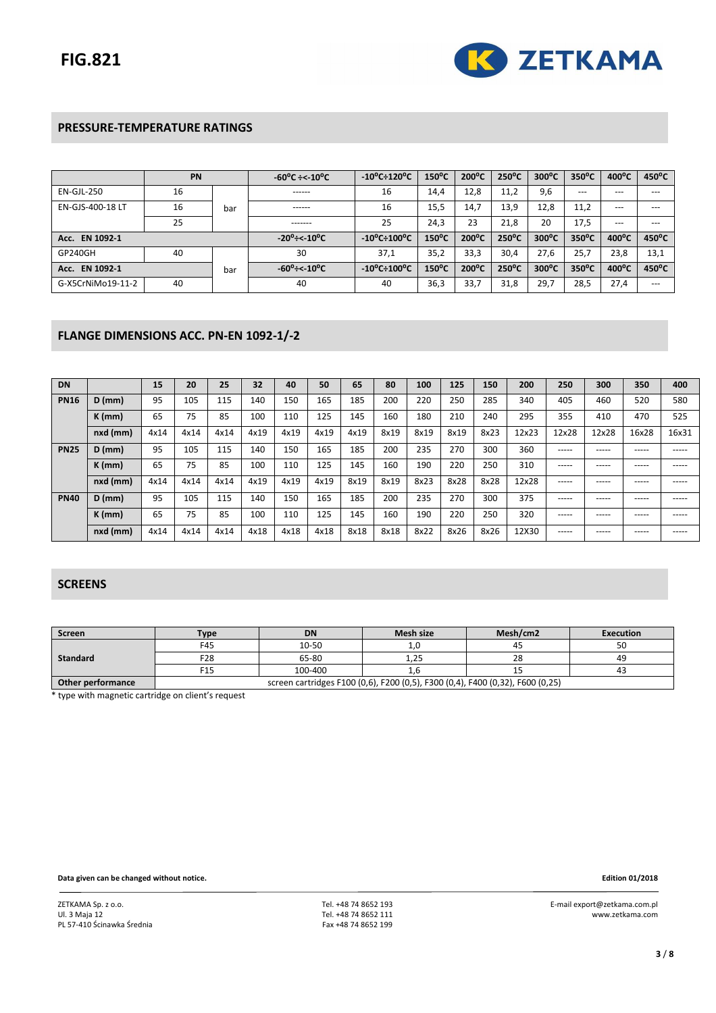

## **PRESSURE-TEMPERATURE RATINGS**

|                   | PN |     | $-60^{\circ}$ C $\div$ $\lt$ $-10^{\circ}$ C | $-10^{\circ}$ C $\div$ 120 $^{\circ}$ C | $150^{\circ}$ C | $200^{\circ}$ C | $250^{\circ}$ C | $300^{\circ}$ C | $350^{\circ}$ C | $400^{\circ}$ C | $450^{\circ}$ C |
|-------------------|----|-----|----------------------------------------------|-----------------------------------------|-----------------|-----------------|-----------------|-----------------|-----------------|-----------------|-----------------|
| EN-GJL-250        | 16 |     | ------                                       | 16                                      | 14.4            | 12,8            | 11.2            | 9,6             | $---$           | ---             | ---             |
| EN-GJS-400-18 LT  | 16 | bar | ------                                       | 16                                      | 15,5            | 14,7            | 13,9            | 12,8            | 11,2            | $---$           | $---$           |
|                   | 25 |     | -------                                      | 25                                      | 24,3            | 23              | 21,8            | 20              | 17,5            | ---             | ---             |
| Acc. EN 1092-1    |    |     | $-20^\circ$ ÷< $10^\circ$ C                  | $-10^{\circ}$ C $\div$ 100 $^{\circ}$ C | $150^{\circ}$ C | $200^{\circ}$ C | $250^{\circ}$ C | $300^{\circ}$ C | $350^{\circ}$ C | $400^{\circ}$ C | $450^{\circ}$ C |
| GP240GH           | 40 |     | 30                                           | 37,1                                    | 35,2            | 33,3            | 30,4            | 27,6            | 25,7            | 23,8            | 13,1            |
| EN 1092-1<br>Acc. |    | bar | $-60^\circ$ ÷< $10^\circ$ C                  | $-10^{\circ}$ C $\div$ 100 $^{\circ}$ C | $150^{\circ}$ C | $200^{\circ}$ C | $250^{\circ}$ C | $300^{\circ}$ C | $350^{\circ}$ C | $400^{\circ}$ C | 450°C           |
| G-X5CrNiMo19-11-2 | 40 |     | 40                                           | 40                                      | 36,3            | 33,7            | 31,8            | 29,7            | 28,5            | 27,4            | $---$           |

### **FLANGE DIMENSIONS ACC. PN-EN 1092-1/-2**

| <b>DN</b>   |                | 15   | 20   | 25   | 32   | 40   | 50   | 65   | 80   | 100  | 125  | 150  | 200   | 250   | 300   | 350   | 400   |
|-------------|----------------|------|------|------|------|------|------|------|------|------|------|------|-------|-------|-------|-------|-------|
| <b>PN16</b> | $D$ (mm)       | 95   | 105  | 115  | 140  | 150  | 165  | 185  | 200  | 220  | 250  | 285  | 340   | 405   | 460   | 520   | 580   |
|             | $K$ (mm)       | 65   | 75   | 85   | 100  | 110  | 125  | 145  | 160  | 180  | 210  | 240  | 295   | 355   | 410   | 470   | 525   |
|             | nxd (mm)       | 4x14 | 4x14 | 4x14 | 4x19 | 4x19 | 4x19 | 4x19 | 8x19 | 8x19 | 8x19 | 8x23 | 12x23 | 12x28 | 12x28 | 16x28 | 16x31 |
| <b>PN25</b> | $D$ (mm)       | 95   | 105  | 115  | 140  | 150  | 165  | 185  | 200  | 235  | 270  | 300  | 360   | ----- | ----- | ----- | ----- |
|             | $K$ (mm)       | 65   | 75   | 85   | 100  | 110  | 125  | 145  | 160  | 190  | 220  | 250  | 310   | ----- | ----- | ----- | ----- |
|             | $nxd$ ( $mm$ ) | 4x14 | 4x14 | 4x14 | 4x19 | 4x19 | 4x19 | 8x19 | 8x19 | 8x23 | 8x28 | 8x28 | 12x28 | ----- | ----- | ----- | ----- |
| <b>PN40</b> | $D$ (mm)       | 95   | 105  | 115  | 140  | 150  | 165  | 185  | 200  | 235  | 270  | 300  | 375   | ----- | ----- | ----- | ----- |
|             | $K$ (mm)       | 65   | 75   | 85   | 100  | 110  | 125  | 145  | 160  | 190  | 220  | 250  | 320   | ----- | ----- | ----- | ----- |
|             | nxd (mm)       | 4x14 | 4x14 | 4x14 | 4x18 | 4x18 | 4x18 | 8x18 | 8x18 | 8x22 | 8x26 | 8x26 | 12X30 | ----- | ----- | ----- | ----- |

### **SCREENS**

| Screen            | Type                                                                           | <b>DN</b> | Mesh size | Mesh/cm2 | <b>Execution</b> |  |  |  |
|-------------------|--------------------------------------------------------------------------------|-----------|-----------|----------|------------------|--|--|--|
|                   | F45                                                                            | 10-50     |           |          |                  |  |  |  |
| <b>Standard</b>   | F28                                                                            | 65-80     | つに<br>ᆠᅭ  | 28       | 49               |  |  |  |
|                   | F15                                                                            | 100-400   |           |          | 4٥               |  |  |  |
| Other performance | screen cartridges F100 (0,6), F200 (0,5), F300 (0,4), F400 (0,32), F600 (0,25) |           |           |          |                  |  |  |  |

\* type with magnetic cartridge on client's request

**Data given can be changed without notice. Edition 01/2018**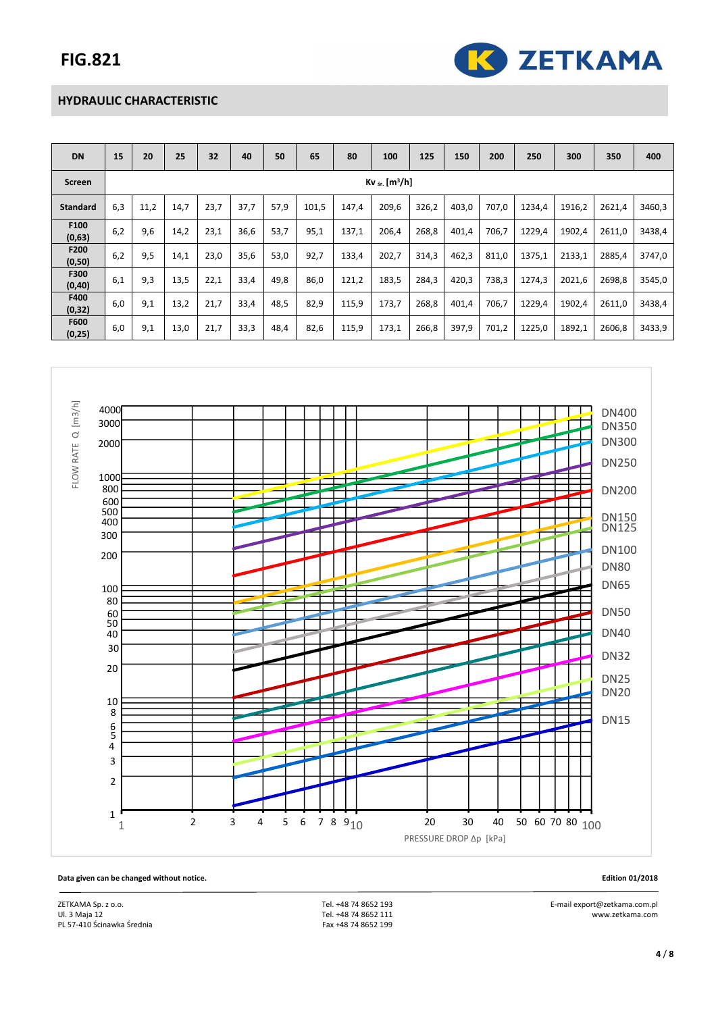

### **HYDRAULIC CHARACTERISTIC**

| <b>DN</b>       | 15  | 20                            | 25   | 32   | 40   | 50   | 65    | 80    | 100   | 125   | 150   | 200   | 250    | 300    | 350    | 400    |
|-----------------|-----|-------------------------------|------|------|------|------|-------|-------|-------|-------|-------|-------|--------|--------|--------|--------|
| Screen          |     | $Kv_{sr}$ [m <sup>3</sup> /h] |      |      |      |      |       |       |       |       |       |       |        |        |        |        |
| <b>Standard</b> | 6,3 | 11,2                          | 14,7 | 23,7 | 37,7 | 57,9 | 101,5 | 147,4 | 209,6 | 326,2 | 403,0 | 707,0 | 1234,4 | 1916,2 | 2621,4 | 3460,3 |
| F100<br>(0,63)  | 6,2 | 9,6                           | 14,2 | 23,1 | 36,6 | 53,7 | 95,1  | 137,1 | 206,4 | 268,8 | 401,4 | 706.7 | 1229.4 | 1902,4 | 2611,0 | 3438,4 |
| F200<br>(0, 50) | 6,2 | 9,5                           | 14,1 | 23,0 | 35,6 | 53,0 | 92,7  | 133,4 | 202,7 | 314,3 | 462,3 | 811,0 | 1375,1 | 2133,1 | 2885,4 | 3747,0 |
| F300<br>(0, 40) | 6,1 | 9,3                           | 13,5 | 22,1 | 33,4 | 49,8 | 86,0  | 121,2 | 183,5 | 284,3 | 420,3 | 738,3 | 1274.3 | 2021,6 | 2698,8 | 3545,0 |
| F400<br>(0, 32) | 6,0 | 9,1                           | 13,2 | 21,7 | 33,4 | 48,5 | 82,9  | 115,9 | 173,7 | 268,8 | 401,4 | 706,7 | 1229,4 | 1902,4 | 2611,0 | 3438,4 |
| F600<br>(0, 25) | 6,0 | 9,1                           | 13,0 | 21,7 | 33,3 | 48,4 | 82,6  | 115,9 | 173,1 | 266,8 | 397,9 | 701,2 | 1225,0 | 1892,1 | 2606,8 | 3433,9 |



 E-mail export@zetkama.com.pl www.zetkama.com

**Data given can be changed without notice. Edition 01/2018** 

ZETKAMA Sp. z o.o. Ul. 3 Maja 12 PL 57-410 Ścinawka Średnia

 Tel. +48 74 8652 193 Tel. +48 74 8652 111 Fax +48 74 8652 199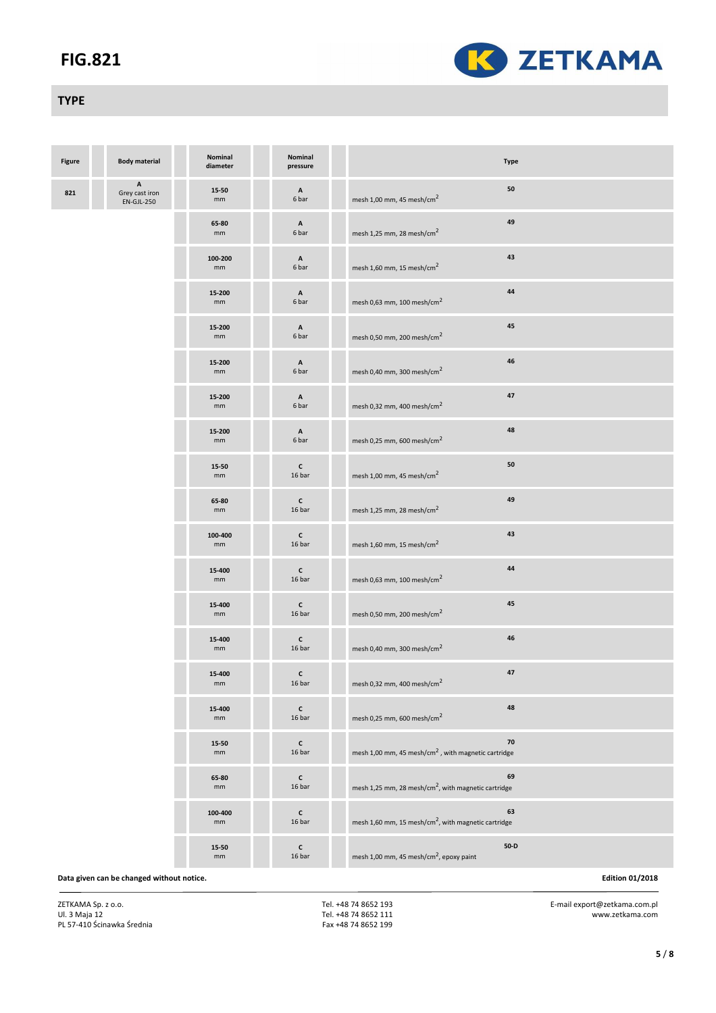

## **TYPE**

| <b>Figure</b> | <b>Body material</b>                      | Nominal<br>diameter | Nominal<br>pressure                | <b>Type</b>                                                           |                        |
|---------------|-------------------------------------------|---------------------|------------------------------------|-----------------------------------------------------------------------|------------------------|
| 821           | Α<br>Grey cast iron<br>$EN-GJL-250$       | 15-50<br>mm         | $\boldsymbol{\mathsf{A}}$<br>6 bar | ${\bf 50}$<br>mesh 1,00 mm, 45 mesh/cm <sup>2</sup>                   |                        |
|               |                                           | 65-80<br>mm         | Α<br>6 bar                         | 49<br>mesh 1,25 mm, 28 mesh/cm <sup>2</sup>                           |                        |
|               |                                           | 100-200<br>mm       | $\mathbf{A}$<br>6 bar              | 43<br>mesh 1,60 mm, 15 mesh/cm <sup>2</sup>                           |                        |
|               |                                           | 15-200<br>mm        | Α<br>6 bar                         | 44<br>mesh 0,63 mm, 100 mesh/cm <sup>2</sup>                          |                        |
|               |                                           | 15-200<br>mm        | A<br>6 bar                         | 45<br>mesh 0,50 mm, 200 mesh/cm <sup>2</sup>                          |                        |
|               |                                           | 15-200<br>mm        | $\boldsymbol{\mathsf{A}}$<br>6 bar | 46<br>mesh 0,40 mm, 300 mesh/cm <sup>2</sup>                          |                        |
|               |                                           | 15-200<br>mm        | Α<br>6 bar                         | 47<br>mesh 0,32 mm, 400 mesh/cm <sup>2</sup>                          |                        |
|               |                                           | 15-200<br>mm        | $\,$ A<br>6 bar                    | 48<br>mesh 0,25 mm, 600 mesh/cm <sup>2</sup>                          |                        |
|               |                                           | 15-50<br>mm         | c<br>16 bar                        | 50<br>mesh 1,00 mm, 45 mesh/cm <sup>2</sup>                           |                        |
|               |                                           | 65-80<br>mm         | $\mathsf{c}$<br>16 bar             | 49<br>mesh 1,25 mm, 28 mesh/cm <sup>2</sup>                           |                        |
|               |                                           | 100-400<br>mm       | $\mathsf{c}$<br>16 bar             | 43<br>mesh 1,60 mm, 15 mesh/cm $^2$                                   |                        |
|               |                                           | 15-400<br>mm        | $\mathsf{c}$<br>16 bar             | 44<br>mesh 0,63 mm, 100 mesh/cm <sup>2</sup>                          |                        |
|               |                                           | 15-400<br>mm        | $\mathsf{c}$<br>16 bar             | 45<br>mesh 0,50 mm, 200 mesh/cm <sup>2</sup>                          |                        |
|               |                                           | 15-400<br>mm        | c<br>16 bar                        | 46<br>mesh 0,40 mm, 300 mesh/cm <sup>2</sup>                          |                        |
|               |                                           | 15-400<br>mm        | $\mathsf{c}$<br>16 bar             | 47<br>mesh 0,32 mm, 400 mesh/cm <sup>2</sup>                          |                        |
|               |                                           | 15-400<br>mm        | $\mathsf{c}$<br>16 bar             | 48<br>mesh 0,25 mm, 600 mesh/cm <sup>2</sup>                          |                        |
|               |                                           | 15-50<br>mm         | $\mathsf{c}$<br>16 bar             | 70<br>mesh 1,00 mm, 45 mesh/cm <sup>2</sup> , with magnetic cartridge |                        |
|               |                                           | 65-80<br>mm         | $\mathsf{c}$<br>16 bar             | 69<br>mesh 1,25 mm, 28 mesh/cm <sup>2</sup> , with magnetic cartridge |                        |
|               |                                           | 100-400<br>mm       | $\mathsf{c}$<br>16 bar             | 63<br>mesh 1,60 mm, 15 mesh/cm <sup>2</sup> , with magnetic cartridge |                        |
|               |                                           | 15-50<br>mm         | $\mathsf{c}$<br>16 bar             | $50-D$<br>mesh 1,00 mm, 45 mesh/cm <sup>2</sup> , epoxy paint         |                        |
|               | Data given can be changed without notice. |                     |                                    |                                                                       | <b>Edition 01/2018</b> |

ZETKAMA Sp. z o.o. Ul. 3 Maja 12 PL 57-410 Ścinawka Średnia  Tel. +48 74 8652 193 Tel. +48 74 8652 111 Fax +48 74 8652 199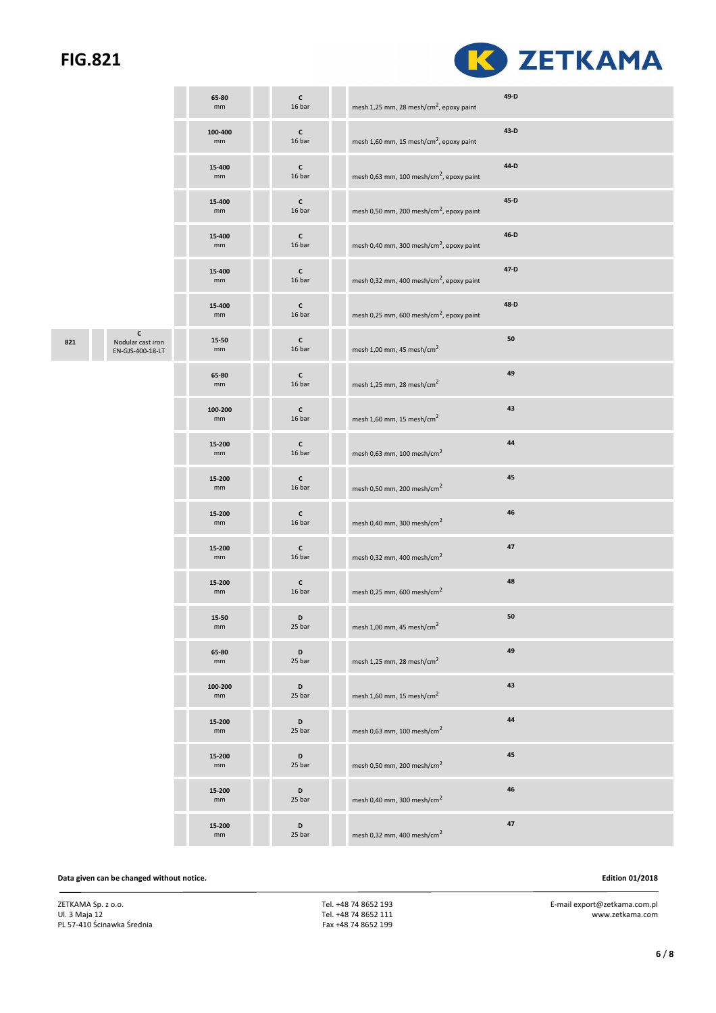

|     |                                            | 65-80<br>mm   | $\mathsf{c}$<br>16 bar | mesh 1,25 mm, 28 mesh/cm <sup>2</sup> , epoxy paint  | 49-D |
|-----|--------------------------------------------|---------------|------------------------|------------------------------------------------------|------|
|     |                                            | 100-400<br>mm | $\mathsf{c}$<br>16 bar | mesh 1,60 mm, 15 mesh/cm <sup>2</sup> , epoxy paint  | 43-D |
|     |                                            | 15-400<br>mm  | $\mathsf{c}$<br>16 bar | mesh 0,63 mm, 100 mesh/cm <sup>2</sup> , epoxy paint | 44-D |
|     |                                            | 15-400<br>mm  | c<br>16 bar            | mesh 0,50 mm, 200 mesh/cm <sup>2</sup> , epoxy paint | 45-D |
|     |                                            | 15-400<br>mm  | $\mathsf{c}$<br>16 bar | mesh 0,40 mm, 300 mesh/cm <sup>2</sup> , epoxy paint | 46-D |
|     |                                            | 15-400<br>mm  | $\mathsf{c}$<br>16 bar | mesh 0,32 mm, 400 mesh/cm <sup>2</sup> , epoxy paint | 47-D |
|     |                                            | 15-400<br>mm  | $\mathsf{c}$<br>16 bar | mesh 0,25 mm, 600 mesh/cm <sup>2</sup> , epoxy paint | 48-D |
| 821 | C<br>Nodular cast iron<br>EN-GJS-400-18-LT | 15-50<br>mm   | $\mathsf{c}$<br>16 bar | mesh 1,00 mm, 45 mesh/cm <sup>2</sup>                | 50   |
|     |                                            | 65-80<br>mm   | c<br>16 bar            | mesh 1,25 mm, 28 mesh/cm <sup>2</sup>                | 49   |
|     |                                            | 100-200<br>mm | $\mathsf{c}$<br>16 bar | mesh 1,60 mm, 15 mesh/cm <sup>2</sup>                | 43   |
|     |                                            | 15-200<br>mm  | $\mathsf{c}$<br>16 bar | mesh 0,63 mm, 100 mesh/cm <sup>2</sup>               | 44   |
|     |                                            | 15-200<br>mm  | $\mathsf{c}$<br>16 bar | mesh 0,50 mm, 200 mesh/cm <sup>2</sup>               | 45   |
|     |                                            | 15-200<br>mm  | c<br>16 bar            | mesh 0,40 mm, 300 mesh/cm <sup>2</sup>               | 46   |
|     |                                            | 15-200<br>mm  | c<br>16 bar            | mesh 0,32 mm, 400 mesh/cm <sup>2</sup>               | 47   |
|     |                                            | 15-200<br>mm  | c<br>16 bar            | mesh 0,25 mm, 600 mesh/cm <sup>2</sup>               | 48   |
|     |                                            | 15-50<br>mm   | D<br>25 bar            | mesh 1,00 mm, 45 mesh/cm <sup>2</sup>                | 50   |
|     |                                            | 65-80<br>mm   | D<br>25 bar            | mesh 1,25 mm, 28 mesh/cm <sup>2</sup>                | 49   |
|     |                                            | 100-200<br>mm | D<br>25 bar            | mesh 1,60 mm, 15 mesh/cm <sup>2</sup>                | 43   |
|     |                                            | 15-200<br>mm  | D<br>25 bar            | mesh 0,63 mm, 100 mesh/cm <sup>2</sup>               | 44   |
|     |                                            | 15-200<br>mm  | D<br>25 bar            | mesh 0,50 mm, 200 mesh/cm <sup>2</sup>               | 45   |
|     |                                            | 15-200<br>mm  | D<br>25 bar            | mesh 0,40 mm, 300 mesh/cm <sup>2</sup>               | 46   |
|     |                                            | 15-200<br>mm  | D<br>25 bar            | mesh 0,32 mm, 400 mesh/cm <sup>2</sup>               | 47   |

#### **Data given can be changed without notice. Edition 01/2018**

ZETKAMA Sp. z o.o. Ul. 3 Maja 12 PL 57-410 Ścinawka Średnia  Tel. +48 74 8652 193 Tel. +48 74 8652 111 Fax +48 74 8652 199 E-mail export@zetkama.com.pl

www.zetkama.com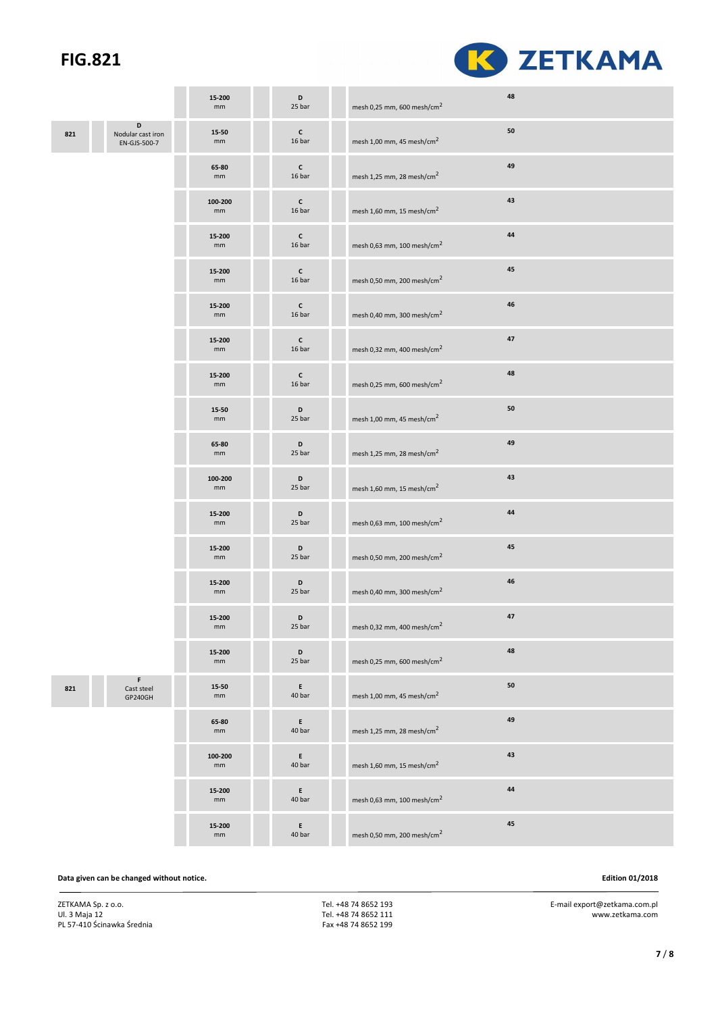

|     |                                        | 15-200<br>mm           | D<br>25 bar              | mesh 0,25 mm, 600 mesh/cm <sup>2</sup> | 48 |
|-----|----------------------------------------|------------------------|--------------------------|----------------------------------------|----|
| 821 | D<br>Nodular cast iron<br>EN-GJS-500-7 | 15-50<br>mm            | $\mathsf{c}$<br>16 bar   | mesh 1,00 mm, 45 mesh/cm <sup>2</sup>  | 50 |
|     |                                        | 65-80<br>mm            | $\mathsf{c}$<br>16 bar   | mesh 1,25 mm, 28 mesh/cm <sup>2</sup>  | 49 |
|     |                                        | 100-200<br>mm          | $\mathsf{c}$<br>16 bar   | mesh 1,60 mm, 15 mesh/cm <sup>2</sup>  | 43 |
|     |                                        | 15-200<br>mm           | $\mathsf{c}\,$<br>16 bar | mesh 0,63 mm, 100 mesh/cm $^2$         | 44 |
|     |                                        | 15-200<br>mm           | $\mathsf{c}\,$<br>16 bar | mesh 0,50 mm, 200 mesh/cm <sup>2</sup> | 45 |
|     |                                        | 15-200<br>mm           | $\mathsf{c}$<br>16 bar   | mesh 0,40 mm, 300 mesh/cm <sup>2</sup> | 46 |
|     |                                        | 15-200<br>mm           | $\mathsf{c}$<br>16 bar   | mesh 0,32 mm, 400 mesh/cm <sup>2</sup> | 47 |
|     |                                        | 15-200<br>mm           | $\mathsf{c}$<br>16 bar   | mesh 0,25 mm, 600 mesh/cm <sup>2</sup> | 48 |
|     |                                        | 15-50<br>mm            | D<br>25 bar              | mesh 1,00 mm, 45 mesh/cm $^2$          | 50 |
|     |                                        | 65-80<br>mm            | D<br>25 bar              | mesh 1,25 mm, 28 mesh/cm <sup>2</sup>  | 49 |
|     |                                        | 100-200<br>mm          | D<br>25 bar              | mesh 1,60 mm, 15 mesh/cm <sup>2</sup>  | 43 |
|     |                                        | 15-200<br>mm           | D<br>25 bar              | mesh 0,63 mm, 100 mesh/cm <sup>2</sup> | 44 |
|     |                                        | 15-200<br>mm           | D<br>25 bar              | mesh 0,50 mm, 200 mesh/cm <sup>2</sup> | 45 |
|     |                                        | 15-200<br>mm           | D<br>25 bar              | mesh 0,40 mm, 300 mesh/cm <sup>2</sup> | 46 |
|     |                                        | 15-200<br>mm           | $\mathsf D$<br>25 bar    | mesh 0,32 mm, 400 mesh/cm <sup>2</sup> | 47 |
|     |                                        | 15-200<br>mm           | D<br>25 bar              | mesh 0,25 mm, 600 mesh/cm <sup>2</sup> | 48 |
| 821 | F<br>Cast steel<br>GP240GH             | 15-50<br>$\mathsf{mm}$ | E<br>40 bar              | mesh 1,00 mm, 45 mesh/cm <sup>2</sup>  | 50 |
|     |                                        | 65-80<br>mm            | E<br>40 bar              | mesh 1,25 mm, 28 mesh/cm <sup>2</sup>  | 49 |
|     |                                        | 100-200<br>mm          | E<br>40 bar              | mesh 1,60 mm, 15 mesh/cm <sup>2</sup>  | 43 |
|     |                                        | 15-200<br>mm           | E<br>40 bar              | mesh 0,63 mm, 100 mesh/cm <sup>2</sup> | 44 |
|     |                                        | 15-200<br>mm           | E<br>40 bar              | mesh 0,50 mm, 200 mesh/cm <sup>2</sup> | 45 |

#### **Data given can be changed without notice. Edition 01/2018**

ZETKAMA Sp. z o.o. Ul. 3 Maja 12 PL 57-410 Ścinawka Średnia  Tel. +48 74 8652 193 Tel. +48 74 8652 111 Fax +48 74 8652 199